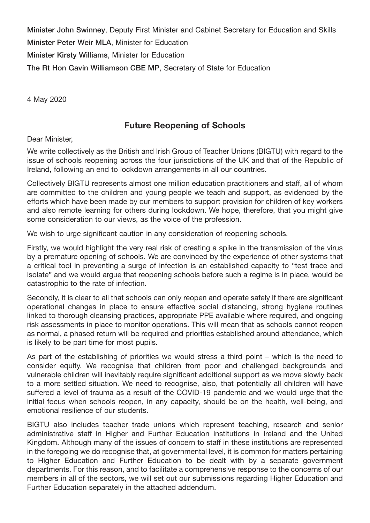**Minister John Swinney**, Deputy First Minister and Cabinet Secretary for Education and Skills **Minister Peter Weir MLA**, Minister for Education **Minister Kirsty Williams**, Minister for Education **The Rt Hon Gavin Williamson CBE MP**, Secretary of State for Education

4 May 2020

## **Future Reopening of Schools**

Dear Minister,

We write collectively as the British and Irish Group of Teacher Unions (BIGTU) with regard to the issue of schools reopening across the four jurisdictions of the UK and that of the Republic of Ireland, following an end to lockdown arrangements in all our countries.

Collectively BIGTU represents almost one million education practitioners and staff, all of whom are committed to the children and young people we teach and support, as evidenced by the efforts which have been made by our members to support provision for children of key workers and also remote learning for others during lockdown. We hope, therefore, that you might give some consideration to our views, as the voice of the profession.

We wish to urge significant caution in any consideration of reopening schools.

Firstly, we would highlight the very real risk of creating a spike in the transmission of the virus by a premature opening of schools. We are convinced by the experience of other systems that a critical tool in preventing a surge of infection is an established capacity to "test trace and isolate" and we would argue that reopening schools before such a regime is in place, would be catastrophic to the rate of infection.

Secondly, it is clear to all that schools can only reopen and operate safely if there are significant operational changes in place to ensure effective social distancing, strong hygiene routines linked to thorough cleansing practices, appropriate PPE available where required, and ongoing risk assessments in place to monitor operations. This will mean that as schools cannot reopen as normal, a phased return will be required and priorities established around attendance, which is likely to be part time for most pupils.

As part of the establishing of priorities we would stress a third point – which is the need to consider equity. We recognise that children from poor and challenged backgrounds and vulnerable children will inevitably require significant additional support as we move slowly back to a more settled situation. We need to recognise, also, that potentially all children will have suffered a level of trauma as a result of the COVID-19 pandemic and we would urge that the initial focus when schools reopen, in any capacity, should be on the health, well-being, and emotional resilience of our students.

BIGTU also includes teacher trade unions which represent teaching, research and senior administrative staff in Higher and Further Education institutions in Ireland and the United Kingdom. Although many of the issues of concern to staff in these institutions are represented in the foregoing we do recognise that, at governmental level, it is common for matters pertaining to Higher Education and Further Education to be dealt with by a separate government departments. For this reason, and to facilitate a comprehensive response to the concerns of our members in all of the sectors, we will set out our submissions regarding Higher Education and Further Education separately in the attached addendum.